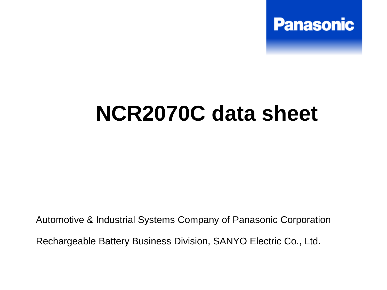

## **NCR2070C data sheet**

Automotive & Industrial Systems Company of Panasonic Corporation Rechargeable Battery Business Division, SANYO Electric Co., Ltd.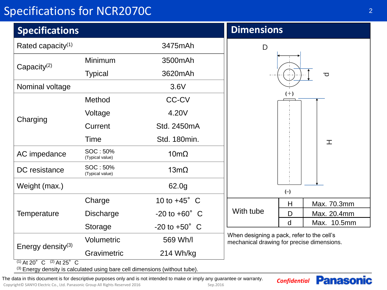## Specifications for NCR2070C

| <b>Specifications</b>         |                             |                          | <b>Dimensions</b>                                                                        |
|-------------------------------|-----------------------------|--------------------------|------------------------------------------------------------------------------------------|
| Rated capacity <sup>(1)</sup> |                             | 3475mAh                  | D                                                                                        |
| Capacity $(2)$                | Minimum                     | 3500mAh                  |                                                                                          |
|                               | <b>Typical</b>              | 3620mAh                  | Ō                                                                                        |
| Nominal voltage               |                             | 3.6V                     |                                                                                          |
| Charging                      | Method                      | <b>CC-CV</b>             | $(+)$                                                                                    |
|                               | Voltage                     | 4.20V                    |                                                                                          |
|                               | Current                     | Std. 2450mA              |                                                                                          |
|                               | Time                        | Std. 180min.             | 工                                                                                        |
| AC impedance                  | SOC: 50%<br>(Typical value) | $10 \text{m}\Omega$      |                                                                                          |
| DC resistance                 | SOC: 50%<br>(Typical value) | $13m\Omega$              |                                                                                          |
| Weight (max.)                 |                             | 62.0g                    | $(-)$                                                                                    |
| Temperature                   | Charge                      | 10 to $+45^{\circ}$ C    | Max. 70.3mm<br>Н<br>With tube<br>Max. 20.4mm<br>D                                        |
|                               | <b>Discharge</b>            | $-20$ to $+60^{\circ}$ C |                                                                                          |
|                               | Storage                     | $-20$ to $+50^{\circ}$ C | d<br>Max. 10.5mm                                                                         |
| Energy density <sup>(3)</sup> | Volumetric                  | 569 Wh/l                 | When designing a pack, refer to the cell's<br>mechanical drawing for precise dimensions. |
|                               | Gravimetric                 | 214 Wh/kg                |                                                                                          |

 $(1)$  At 20° C  $(2)$  At 25° C

(3) Energy density is calculated using bare cell dimensions (without tube).

*Confidential* The data in this document is for descriptive purposes only and is not intended to make or imply any guarantee or warranty.

Copyright© SANYO Electric Co., Ltd. Panasonic Group All Rights Reserved 2016 Sep.2016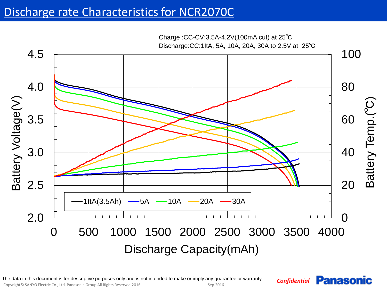## Discharge rate Characteristics for NCR2070C



Copyright© SANYO Electric Co., Ltd. Panasonic Group All Rights Reserved 2016 Sep.2016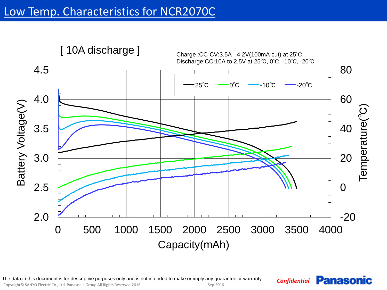

Copyright© SANYO Electric Co., Ltd. Panasonic Group All Rights Reserved 2016 Sep.2016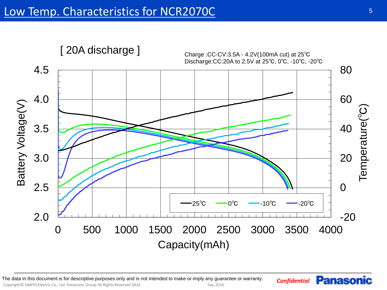

Copyright© SANYO Electric Co., Ltd. Panasonic Group All Rights Reserved 2016 Sep.2016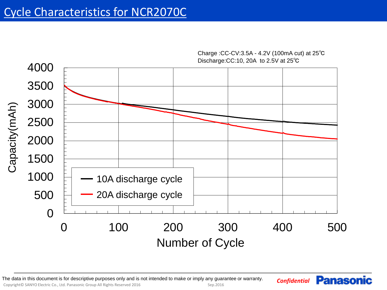

*Confidential* The data in this document is for descriptive purposes only and is not intended to make or imply any guarantee or warranty.

Copyright© SANYO Electric Co., Ltd. Panasonic Group All Rights Reserved 2016 Sep.2016